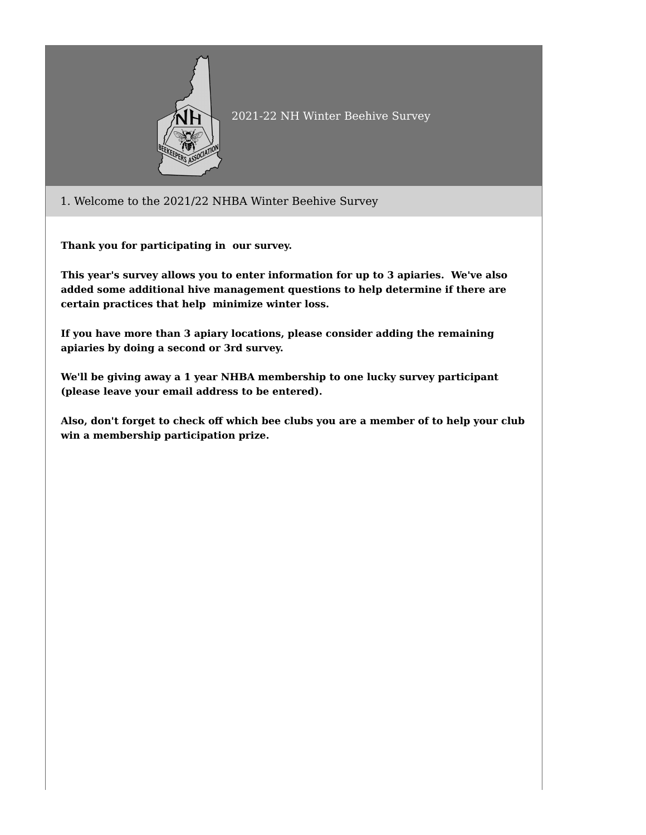

## 2021-22 NH Winter Beehive Survey

1. Welcome to the 2021/22 NHBA Winter Beehive Survey

**Thank you for participating in our survey.**

**This year's survey allows you to enter information for up to 3 apiaries. We've also added some additional hive management questions to help determine if there are certain practices that help minimize winter loss.**

**If you have more than 3 apiary locations, please consider adding the remaining apiaries by doing a second or 3rd survey.**

**We'll be giving away a 1 year NHBA membership to one lucky survey participant (please leave your email address to be entered).**

**Also, don't forget to check off which bee clubs you are a member of to help your club win a membership participation prize.**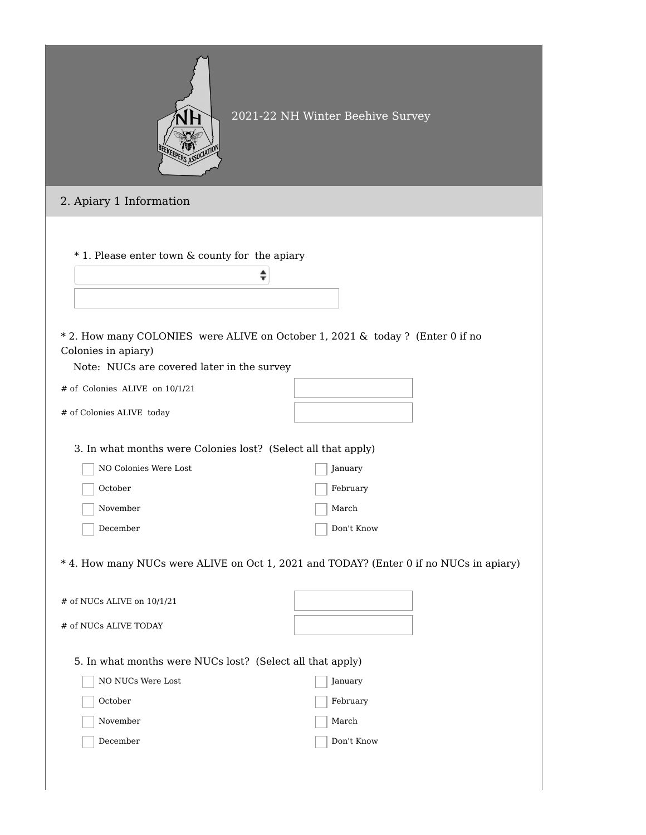|                                                                                                                                      | 2021-22 NH Winter Beehive Survey                                                       |
|--------------------------------------------------------------------------------------------------------------------------------------|----------------------------------------------------------------------------------------|
| 2. Apiary 1 Information                                                                                                              |                                                                                        |
| * 1. Please enter town & county for the apiary<br>÷<br>* 2. How many COLONIES were ALIVE on October 1, 2021 & today ? (Enter 0 if no |                                                                                        |
| Colonies in apiary)<br>Note: NUCs are covered later in the survey                                                                    |                                                                                        |
| # of Colonies ALIVE on 10/1/21                                                                                                       |                                                                                        |
| # of Colonies ALIVE today                                                                                                            |                                                                                        |
| 3. In what months were Colonies lost? (Select all that apply)                                                                        |                                                                                        |
| NO Colonies Were Lost                                                                                                                | January                                                                                |
| October                                                                                                                              | February                                                                               |
| November                                                                                                                             | March                                                                                  |
| December                                                                                                                             | Don't Know                                                                             |
|                                                                                                                                      | * 4. How many NUCs were ALIVE on Oct 1, 2021 and TODAY? (Enter 0 if no NUCs in apiary) |
| # of NUCs ALIVE on 10/1/21                                                                                                           |                                                                                        |
| # of NUCs ALIVE TODAY                                                                                                                |                                                                                        |
| 5. In what months were NUCs lost? (Select all that apply)                                                                            |                                                                                        |
| NO NUCs Were Lost                                                                                                                    | January                                                                                |
| October                                                                                                                              | February                                                                               |
| November                                                                                                                             | March                                                                                  |
| December                                                                                                                             | Don't Know                                                                             |
|                                                                                                                                      |                                                                                        |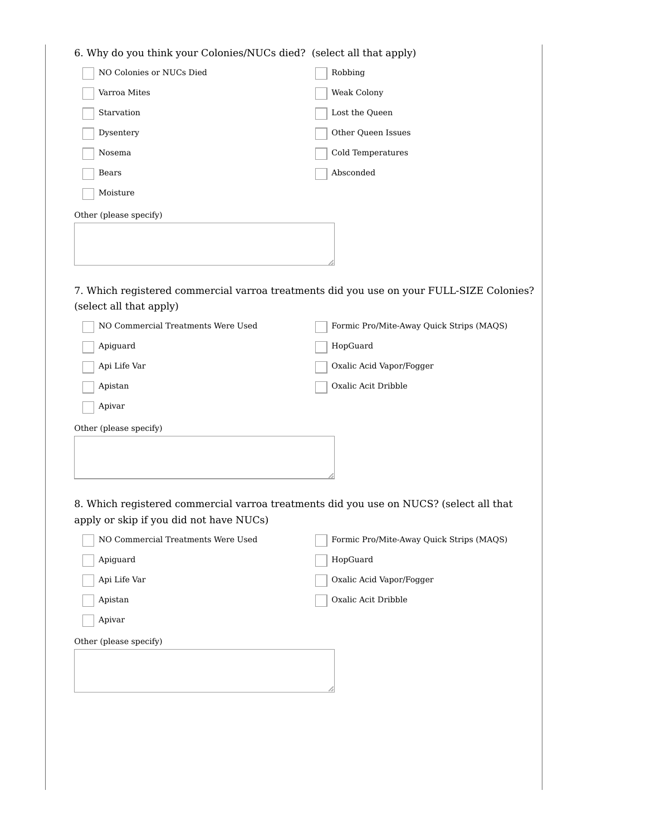| 6. Why do you think your Colonies/NUCs died? (select all that apply) |                                                                                          |
|----------------------------------------------------------------------|------------------------------------------------------------------------------------------|
| NO Colonies or NUCs Died                                             | Robbing                                                                                  |
| Varroa Mites                                                         | Weak Colony                                                                              |
| Starvation                                                           | Lost the Queen                                                                           |
| Dysentery                                                            | Other Queen Issues                                                                       |
| Nosema                                                               | Cold Temperatures                                                                        |
| Bears                                                                | Absconded                                                                                |
| Moisture                                                             |                                                                                          |
| Other (please specify)                                               |                                                                                          |
|                                                                      |                                                                                          |
|                                                                      |                                                                                          |
|                                                                      |                                                                                          |
|                                                                      | 7. Which registered commercial varroa treatments did you use on your FULL-SIZE Colonies? |
| (select all that apply)<br>NO Commercial Treatments Were Used        | Formic Pro/Mite-Away Quick Strips (MAQS)                                                 |
| Apiguard                                                             | HopGuard                                                                                 |
| Api Life Var                                                         | Oxalic Acid Vapor/Fogger                                                                 |
| Apistan                                                              | Oxalic Acit Dribble                                                                      |
| Apivar                                                               |                                                                                          |
|                                                                      |                                                                                          |
| Other (please specify)                                               |                                                                                          |
|                                                                      |                                                                                          |
|                                                                      |                                                                                          |
|                                                                      | 8. Which registered commercial varroa treatments did you use on NUCS? (select all that   |
| apply or skip if you did not have NUCs)                              |                                                                                          |
| NO Commercial Treatments Were Used                                   | Formic Pro/Mite-Away Quick Strips (MAQS)                                                 |
| Apiguard                                                             | HopGuard                                                                                 |
| Api Life Var                                                         | Oxalic Acid Vapor/Fogger                                                                 |
| Apistan                                                              | Oxalic Acit Dribble                                                                      |
| Apivar                                                               |                                                                                          |
| Other (please specify)                                               |                                                                                          |
|                                                                      |                                                                                          |
|                                                                      |                                                                                          |
|                                                                      |                                                                                          |
|                                                                      |                                                                                          |
|                                                                      |                                                                                          |
|                                                                      |                                                                                          |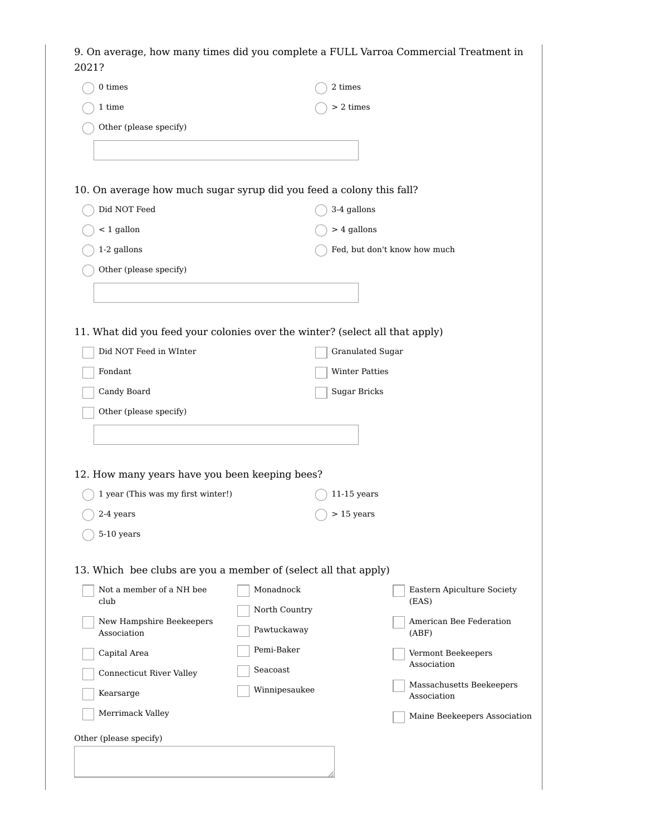| 0 times                                                      | 2 times                                                                      |                                         |
|--------------------------------------------------------------|------------------------------------------------------------------------------|-----------------------------------------|
| 1 time                                                       | $> 2 \times$                                                                 |                                         |
| Other (please specify)                                       |                                                                              |                                         |
|                                                              |                                                                              |                                         |
|                                                              |                                                                              |                                         |
|                                                              | 10. On average how much sugar syrup did you feed a colony this fall?         |                                         |
| Did NOT Feed                                                 | 3-4 gallons                                                                  |                                         |
| $<$ 1 gallon                                                 | $> 4$ gallons                                                                |                                         |
| 1-2 gallons                                                  |                                                                              | Fed, but don't know how much            |
| Other (please specify)                                       |                                                                              |                                         |
|                                                              |                                                                              |                                         |
|                                                              |                                                                              |                                         |
|                                                              | 11. What did you feed your colonies over the winter? (select all that apply) |                                         |
| Did NOT Feed in WInter                                       | Granulated Sugar                                                             |                                         |
| Fondant                                                      | <b>Winter Patties</b>                                                        |                                         |
| Candy Board                                                  | Sugar Bricks                                                                 |                                         |
| Other (please specify)                                       |                                                                              |                                         |
|                                                              |                                                                              |                                         |
|                                                              |                                                                              |                                         |
|                                                              |                                                                              |                                         |
|                                                              |                                                                              |                                         |
|                                                              |                                                                              |                                         |
| 1 year (This was my first winter!)                           | $11-15$ years                                                                |                                         |
| 2-4 years                                                    | $> 15$ years                                                                 |                                         |
| 12. How many years have you been keeping bees?<br>5-10 years |                                                                              |                                         |
|                                                              |                                                                              |                                         |
|                                                              | 13. Which bee clubs are you a member of (select all that apply)              |                                         |
| Not a member of a NH bee<br>club                             | Monadnock                                                                    | Eastern Apiculture Society<br>(EAS)     |
|                                                              | North Country                                                                | American Bee Federation                 |
| New Hampshire Beekeepers<br>Association                      | Pawtuckaway                                                                  | (ABF)                                   |
| Capital Area                                                 | Pemi-Baker                                                                   | Vermont Beekeepers                      |
| Connecticut River Valley                                     | Seacoast                                                                     | Association                             |
| Kearsarge                                                    | Winnipesaukee                                                                | Massachusetts Beekeepers<br>Association |
| Merrimack Valley                                             |                                                                              | Maine Beekeepers Association            |
| Other (please specify)                                       |                                                                              |                                         |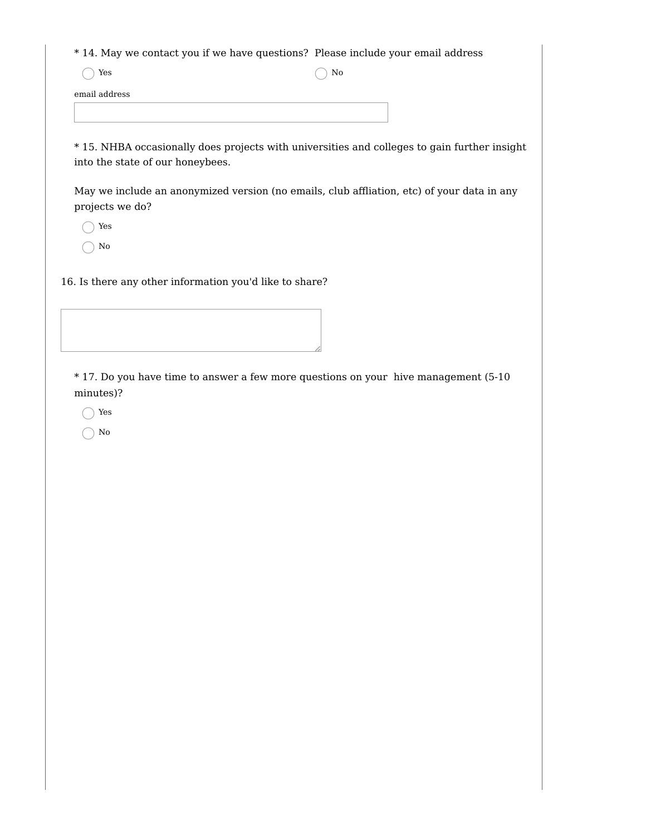\* 14. May we contact you if we have questions? Please include your email address

 $\bigcap$  Yes  $\bigcap$  No

email address

\* 15. NHBA occasionally does projects with universities and colleges to gain further insight into the state of our honeybees.

May we include an anonymized version (no emails, club affliation, etc) of your data in any projects we do?

◯ Yes

No

16. Is there any other information you'd like to share?

\* 17. Do you have time to answer a few more questions on your hive management (5-10 minutes)?

◯ Yes

 $\bigcap$  No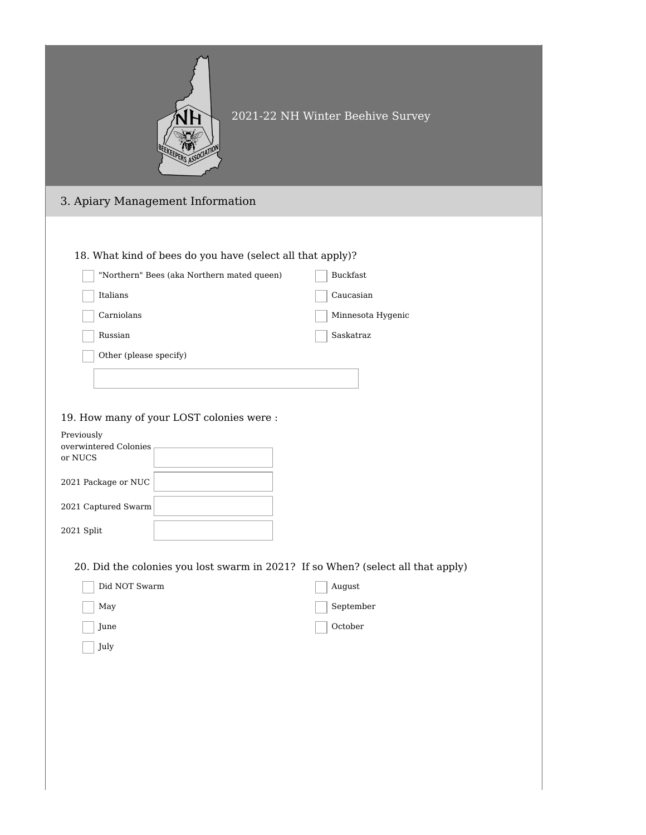|                                                                                                                                                                                                                                                                        | 2021-22 NH Winter Beehive Survey                        |
|------------------------------------------------------------------------------------------------------------------------------------------------------------------------------------------------------------------------------------------------------------------------|---------------------------------------------------------|
| 3. Apiary Management Information                                                                                                                                                                                                                                       |                                                         |
| 18. What kind of bees do you have (select all that apply)?<br>"Northern" Bees (aka Northern mated queen)<br>Italians<br>Carniolans<br>Russian<br>Other (please specify)<br>19. How many of your LOST colonies were :<br>Previously<br>overwintered Colonies<br>or NUCS | Buckfast<br>Caucasian<br>Minnesota Hygenic<br>Saskatraz |
| 2021 Package or NUC                                                                                                                                                                                                                                                    |                                                         |
| 2021 Captured Swarm                                                                                                                                                                                                                                                    |                                                         |
| $2021$ Split                                                                                                                                                                                                                                                           |                                                         |
| 20. Did the colonies you lost swarm in 2021? If so When? (select all that apply)<br>Did NOT Swarm<br>May<br>June<br>July                                                                                                                                               | August<br>September<br>October                          |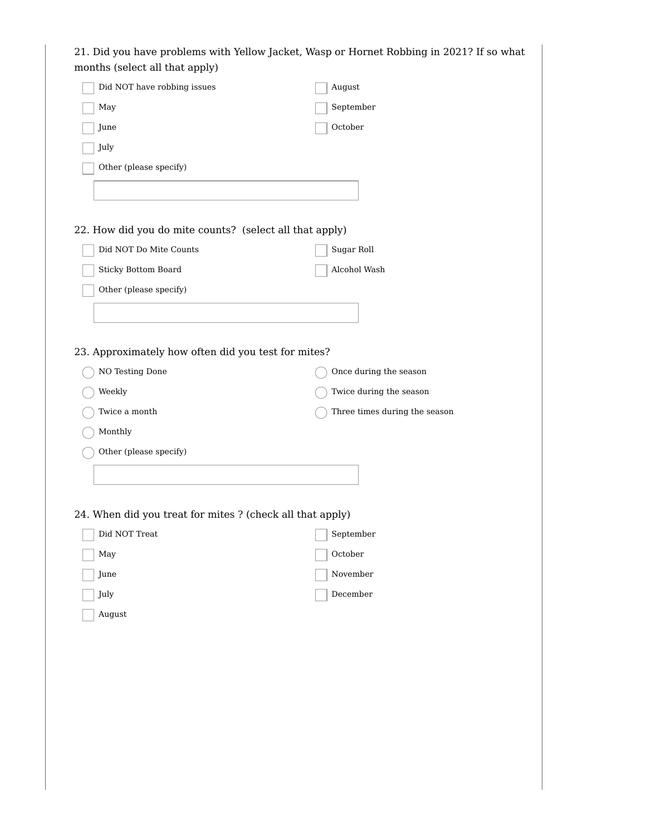| September<br>May<br>October<br>June<br>July<br>Other (please specify)<br>Did NOT Do Mite Counts<br>Sugar Roll<br>Sticky Bottom Board<br>Alcohol Wash<br>Other (please specify)<br>NO Testing Done<br>Once during the season<br>Weekly<br>Twice during the season<br>Twice a month<br>Three times during the season<br>Monthly<br>Other (please specify)<br>September<br>Did NOT Treat<br>October<br>May<br>November<br>June<br>December<br>July<br>August | Did NOT have robbing issues | August |
|-----------------------------------------------------------------------------------------------------------------------------------------------------------------------------------------------------------------------------------------------------------------------------------------------------------------------------------------------------------------------------------------------------------------------------------------------------------|-----------------------------|--------|
|                                                                                                                                                                                                                                                                                                                                                                                                                                                           |                             |        |
|                                                                                                                                                                                                                                                                                                                                                                                                                                                           |                             |        |
|                                                                                                                                                                                                                                                                                                                                                                                                                                                           |                             |        |
|                                                                                                                                                                                                                                                                                                                                                                                                                                                           |                             |        |
|                                                                                                                                                                                                                                                                                                                                                                                                                                                           |                             |        |
| 22. How did you do mite counts? (select all that apply)                                                                                                                                                                                                                                                                                                                                                                                                   |                             |        |
|                                                                                                                                                                                                                                                                                                                                                                                                                                                           |                             |        |
|                                                                                                                                                                                                                                                                                                                                                                                                                                                           |                             |        |
|                                                                                                                                                                                                                                                                                                                                                                                                                                                           |                             |        |
|                                                                                                                                                                                                                                                                                                                                                                                                                                                           |                             |        |
|                                                                                                                                                                                                                                                                                                                                                                                                                                                           |                             |        |
| 23. Approximately how often did you test for mites?                                                                                                                                                                                                                                                                                                                                                                                                       |                             |        |
|                                                                                                                                                                                                                                                                                                                                                                                                                                                           |                             |        |
|                                                                                                                                                                                                                                                                                                                                                                                                                                                           |                             |        |
|                                                                                                                                                                                                                                                                                                                                                                                                                                                           |                             |        |
|                                                                                                                                                                                                                                                                                                                                                                                                                                                           |                             |        |
|                                                                                                                                                                                                                                                                                                                                                                                                                                                           |                             |        |
|                                                                                                                                                                                                                                                                                                                                                                                                                                                           |                             |        |
|                                                                                                                                                                                                                                                                                                                                                                                                                                                           |                             |        |
| 24. When did you treat for mites ? (check all that apply)                                                                                                                                                                                                                                                                                                                                                                                                 |                             |        |
|                                                                                                                                                                                                                                                                                                                                                                                                                                                           |                             |        |
|                                                                                                                                                                                                                                                                                                                                                                                                                                                           |                             |        |
|                                                                                                                                                                                                                                                                                                                                                                                                                                                           |                             |        |
|                                                                                                                                                                                                                                                                                                                                                                                                                                                           |                             |        |
|                                                                                                                                                                                                                                                                                                                                                                                                                                                           |                             |        |
|                                                                                                                                                                                                                                                                                                                                                                                                                                                           |                             |        |
|                                                                                                                                                                                                                                                                                                                                                                                                                                                           |                             |        |
|                                                                                                                                                                                                                                                                                                                                                                                                                                                           |                             |        |
|                                                                                                                                                                                                                                                                                                                                                                                                                                                           |                             |        |
|                                                                                                                                                                                                                                                                                                                                                                                                                                                           |                             |        |
|                                                                                                                                                                                                                                                                                                                                                                                                                                                           |                             |        |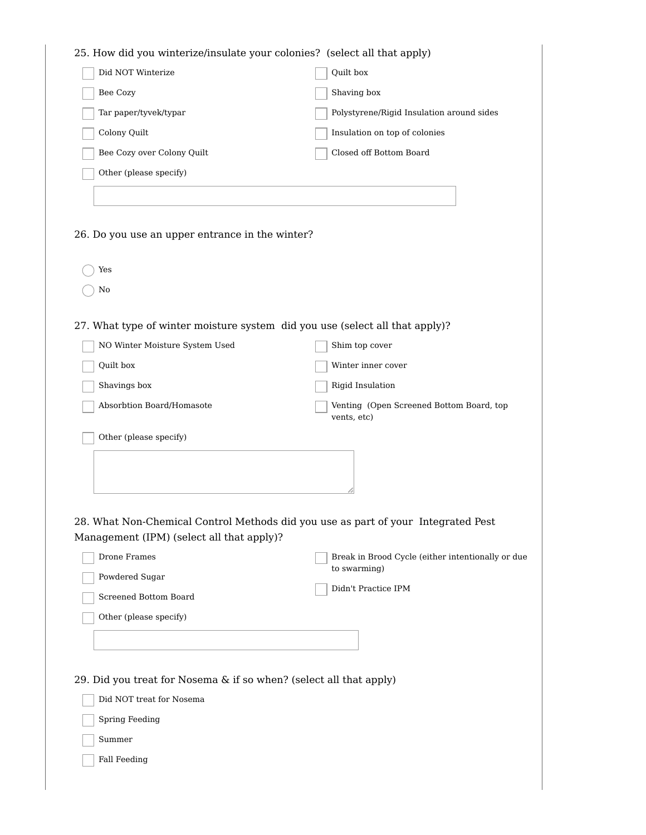| 25. How did you winterize/insulate your colonies? (select all that apply)    |                                                                                   |
|------------------------------------------------------------------------------|-----------------------------------------------------------------------------------|
| Did NOT Winterize                                                            | Quilt box                                                                         |
| Bee Cozy                                                                     | Shaving box                                                                       |
| Tar paper/tyvek/typar                                                        | Polystyrene/Rigid Insulation around sides                                         |
| Colony Quilt                                                                 | Insulation on top of colonies                                                     |
| Bee Cozy over Colony Quilt                                                   | Closed off Bottom Board                                                           |
| Other (please specify)                                                       |                                                                                   |
|                                                                              |                                                                                   |
|                                                                              |                                                                                   |
| 26. Do you use an upper entrance in the winter?                              |                                                                                   |
|                                                                              |                                                                                   |
| Yes                                                                          |                                                                                   |
| No                                                                           |                                                                                   |
|                                                                              |                                                                                   |
| 27. What type of winter moisture system did you use (select all that apply)? |                                                                                   |
| NO Winter Moisture System Used                                               | Shim top cover                                                                    |
| Quilt box                                                                    | Winter inner cover                                                                |
| Shavings box                                                                 | Rigid Insulation                                                                  |
| Absorbtion Board/Homasote                                                    | Venting (Open Screened Bottom Board, top<br>vents, etc)                           |
| Other (please specify)                                                       |                                                                                   |
|                                                                              |                                                                                   |
|                                                                              |                                                                                   |
|                                                                              |                                                                                   |
|                                                                              |                                                                                   |
| Management (IPM) (select all that apply)?                                    | 28. What Non-Chemical Control Methods did you use as part of your Integrated Pest |
| Drone Frames                                                                 | Break in Brood Cycle (either intentionally or due                                 |
| Powdered Sugar                                                               | to swarming)                                                                      |
| Screened Bottom Board                                                        | Didn't Practice IPM                                                               |
| Other (please specify)                                                       |                                                                                   |
|                                                                              |                                                                                   |
|                                                                              |                                                                                   |
|                                                                              |                                                                                   |
| 29. Did you treat for Nosema & if so when? (select all that apply)           |                                                                                   |
| Did NOT treat for Nosema                                                     |                                                                                   |
| <b>Spring Feeding</b>                                                        |                                                                                   |
| Summer                                                                       |                                                                                   |
| <b>Fall Feeding</b>                                                          |                                                                                   |
|                                                                              |                                                                                   |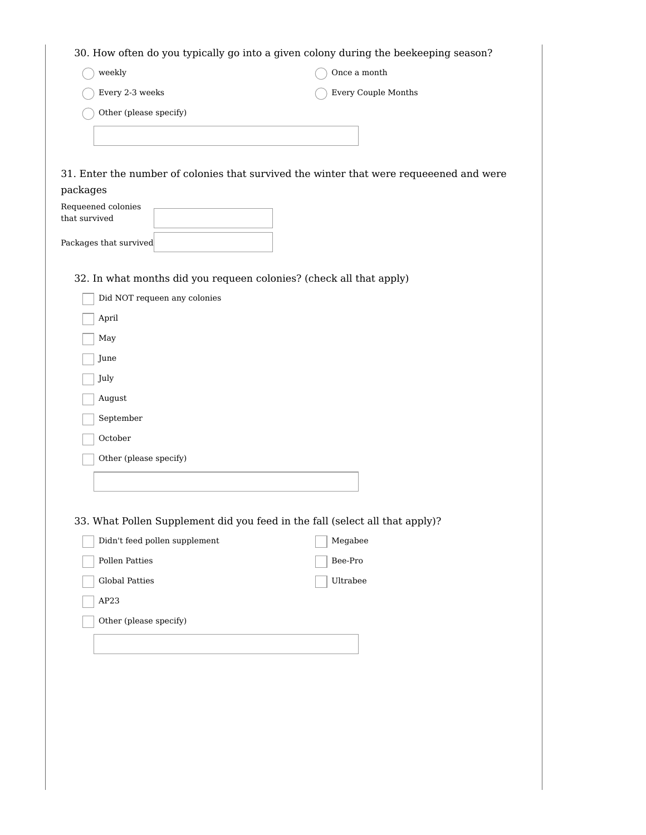| weekly                                                              | Once a month $\,$                                                                       |
|---------------------------------------------------------------------|-----------------------------------------------------------------------------------------|
| Every 2-3 weeks                                                     | Every Couple Months                                                                     |
| Other (please specify)                                              |                                                                                         |
|                                                                     |                                                                                         |
|                                                                     |                                                                                         |
|                                                                     | 31. Enter the number of colonies that survived the winter that were requeeened and were |
| packages                                                            |                                                                                         |
| Requeened colonies                                                  |                                                                                         |
| that survived                                                       |                                                                                         |
| Packages that survived                                              |                                                                                         |
|                                                                     |                                                                                         |
| 32. In what months did you requeen colonies? (check all that apply) |                                                                                         |
| Did NOT requeen any colonies                                        |                                                                                         |
| April                                                               |                                                                                         |
| May                                                                 |                                                                                         |
| June                                                                |                                                                                         |
| July                                                                |                                                                                         |
| August                                                              |                                                                                         |
| September                                                           |                                                                                         |
| October                                                             |                                                                                         |
| Other (please specify)                                              |                                                                                         |
|                                                                     |                                                                                         |
|                                                                     |                                                                                         |
|                                                                     | 33. What Pollen Supplement did you feed in the fall (select all that apply)?            |
| Didn't feed pollen supplement                                       | Megabee                                                                                 |
| Pollen Patties                                                      | $\mbox{Bee-Pro}$                                                                        |
| Global Patties                                                      | Ultrabee                                                                                |
| AP23                                                                |                                                                                         |
| Other (please specify)                                              |                                                                                         |
|                                                                     |                                                                                         |
|                                                                     |                                                                                         |
|                                                                     |                                                                                         |
|                                                                     |                                                                                         |
|                                                                     |                                                                                         |
|                                                                     |                                                                                         |
|                                                                     |                                                                                         |
|                                                                     |                                                                                         |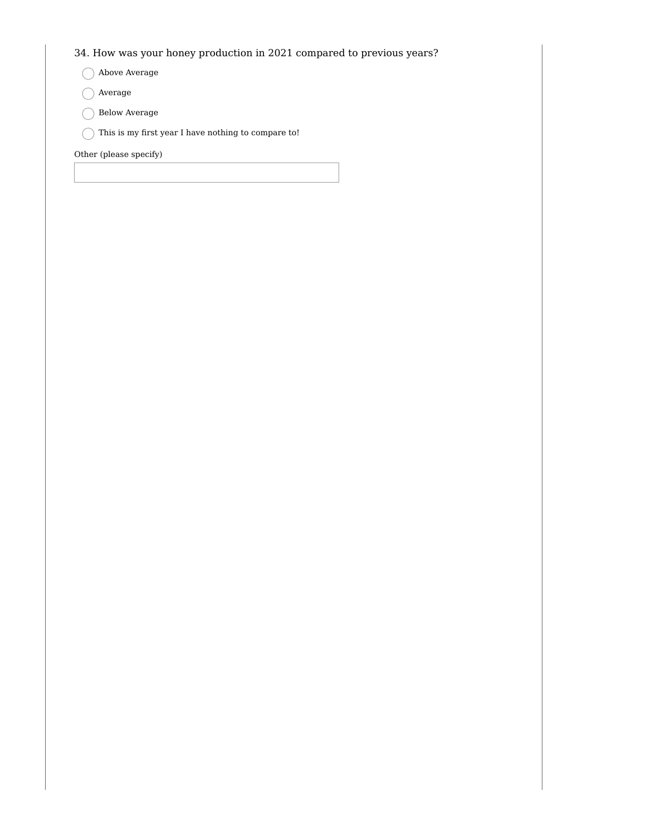## 34. How was your honey production in 2021 compared to previous years?

- Above Average
- Average
- Below Average
- $\bigcirc$  This is my first year I have nothing to compare to!

Other (please specify)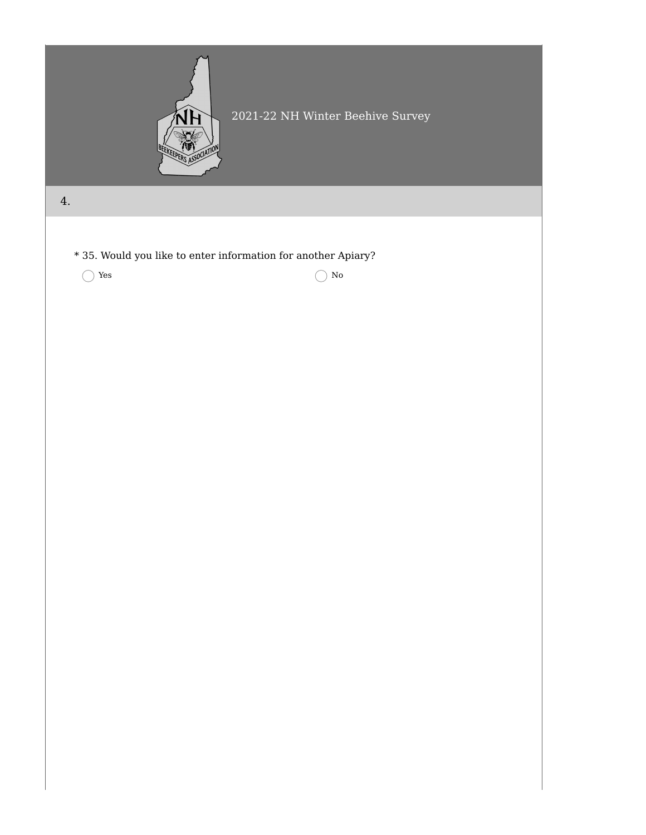

## 2021-22 NH Winter Beehive Survey

4.

\* 35. Would you like to enter information for another Apiary?

 $\bigcirc$  Yes  $\bigcirc$  No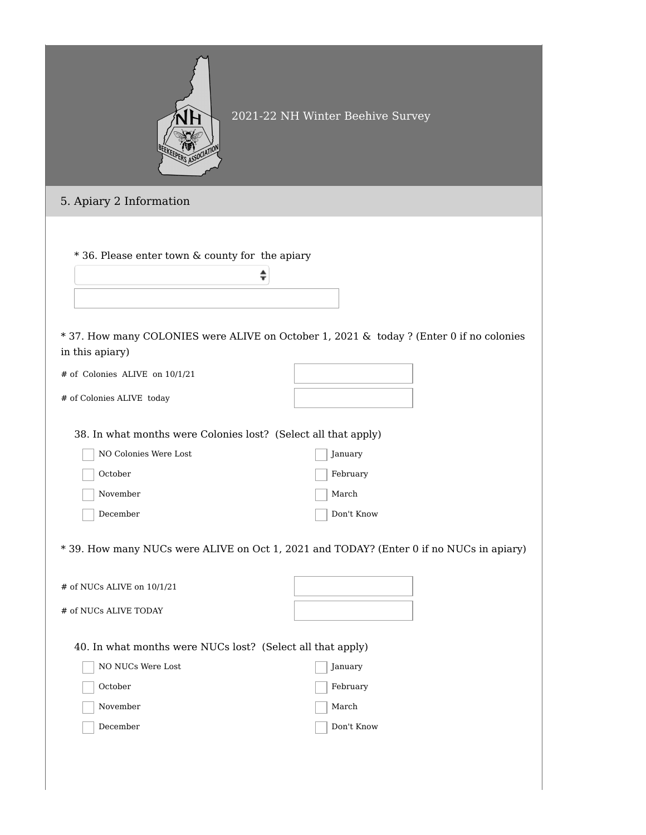|                                                                | 2021-22 NH Winter Beehive Survey                                                        |  |
|----------------------------------------------------------------|-----------------------------------------------------------------------------------------|--|
| 5. Apiary 2 Information                                        |                                                                                         |  |
| * 36. Please enter town & county for the apiary<br>÷           | * 37. How many COLONIES were ALIVE on October 1, 2021 & today ? (Enter 0 if no colonies |  |
| in this apiary)<br># of Colonies ALIVE on 10/1/21              |                                                                                         |  |
| # of Colonies ALIVE today                                      |                                                                                         |  |
|                                                                |                                                                                         |  |
| 38. In what months were Colonies lost? (Select all that apply) |                                                                                         |  |
| NO Colonies Were Lost                                          | January                                                                                 |  |
| October                                                        | February                                                                                |  |
| November                                                       | March                                                                                   |  |
| December                                                       | Don't Know                                                                              |  |
|                                                                | * 39. How many NUCs were ALIVE on Oct 1, 2021 and TODAY? (Enter 0 if no NUCs in apiary) |  |
| # of NUCs ALIVE on 10/1/21                                     |                                                                                         |  |
| # of NUCs ALIVE TODAY                                          |                                                                                         |  |
| 40. In what months were NUCs lost? (Select all that apply)     |                                                                                         |  |
| NO NUCs Were Lost                                              | January                                                                                 |  |
| October                                                        | February                                                                                |  |
| November                                                       | March                                                                                   |  |
| December                                                       | Don't Know                                                                              |  |
|                                                                |                                                                                         |  |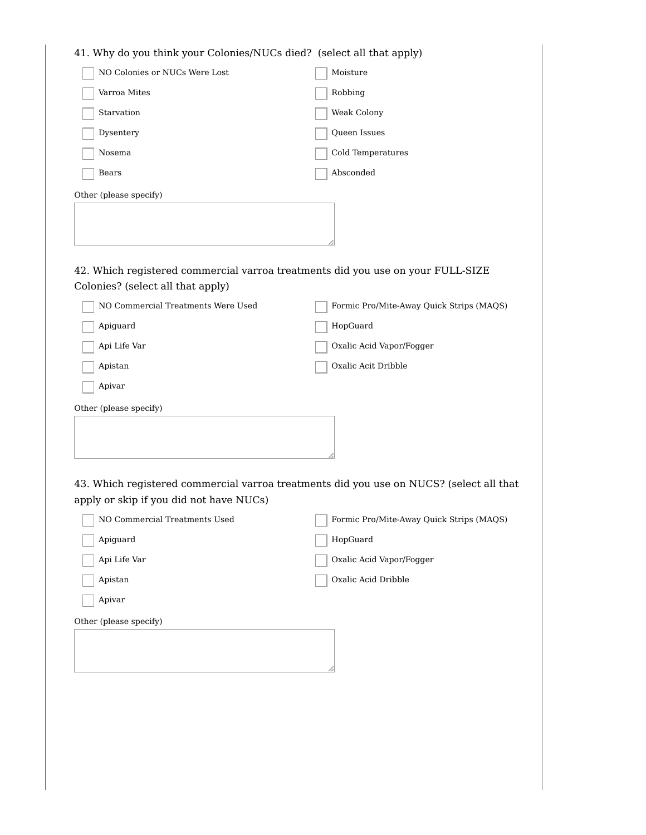| 41. Why do you think your Colonies/NUCs died? (select all that apply)           |                                                                                         |
|---------------------------------------------------------------------------------|-----------------------------------------------------------------------------------------|
| NO Colonies or NUCs Were Lost                                                   | Moisture                                                                                |
| Varroa Mites                                                                    | Robbing                                                                                 |
| Starvation                                                                      | Weak Colony                                                                             |
| Dysentery                                                                       | Queen Issues                                                                            |
| Nosema                                                                          | Cold Temperatures                                                                       |
| Bears                                                                           | Absconded                                                                               |
| Other (please specify)                                                          |                                                                                         |
|                                                                                 |                                                                                         |
|                                                                                 |                                                                                         |
|                                                                                 |                                                                                         |
| 42. Which registered commercial varroa treatments did you use on your FULL-SIZE |                                                                                         |
| Colonies? (select all that apply)                                               |                                                                                         |
| NO Commercial Treatments Were Used                                              | Formic Pro/Mite-Away Quick Strips (MAQS)                                                |
| Apiguard                                                                        | HopGuard                                                                                |
| Api Life Var                                                                    | Oxalic Acid Vapor/Fogger                                                                |
| Apistan                                                                         | Oxalic Acit Dribble                                                                     |
| Apivar                                                                          |                                                                                         |
| Other (please specify)                                                          |                                                                                         |
|                                                                                 |                                                                                         |
|                                                                                 |                                                                                         |
|                                                                                 |                                                                                         |
|                                                                                 | 43. Which registered commercial varroa treatments did you use on NUCS? (select all that |
|                                                                                 |                                                                                         |
|                                                                                 |                                                                                         |
| Apiguard                                                                        |                                                                                         |
| Api Life Var                                                                    | Oxalic Acid Vapor/Fogger                                                                |
| Apistan                                                                         | Oxalic Acid Dribble                                                                     |
| Apivar                                                                          |                                                                                         |
| Other (please specify)                                                          |                                                                                         |
|                                                                                 |                                                                                         |
|                                                                                 |                                                                                         |
|                                                                                 |                                                                                         |
|                                                                                 |                                                                                         |
|                                                                                 |                                                                                         |
| apply or skip if you did not have NUCs)<br>NO Commercial Treatments Used        | Formic Pro/Mite-Away Quick Strips (MAQS)<br>HopGuard                                    |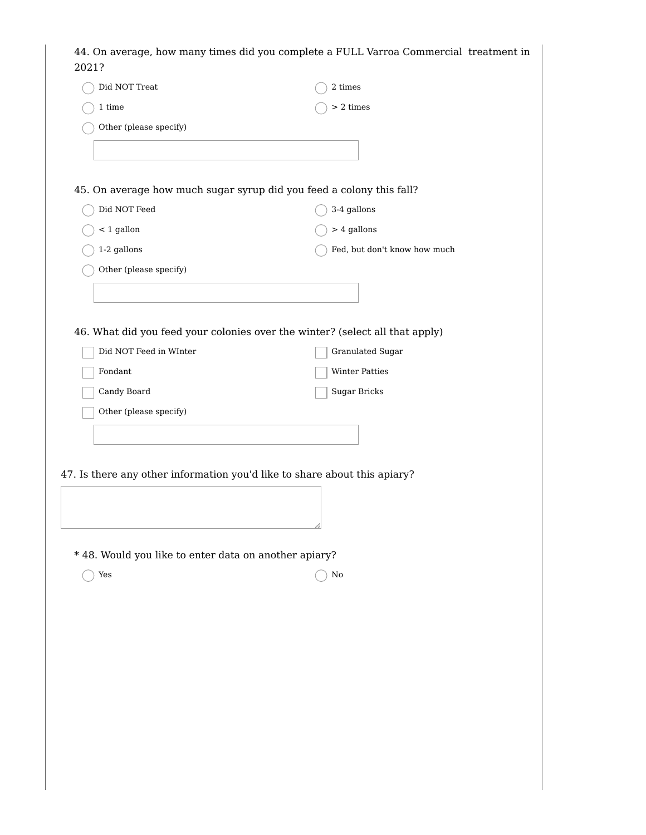| Did NOT Treat                                                             | $2\ times$                                                                   |
|---------------------------------------------------------------------------|------------------------------------------------------------------------------|
| $1\ {\rm time}$                                                           | $>$ 2 times                                                                  |
| Other (please specify)                                                    |                                                                              |
|                                                                           |                                                                              |
|                                                                           |                                                                              |
| 45. On average how much sugar syrup did you feed a colony this fall?      |                                                                              |
| Did NOT Feed                                                              | 3-4 gallons                                                                  |
| $<$ 1 gallon                                                              | $> 4$ gallons                                                                |
| 1-2 gallons                                                               | Fed, but don't know how much                                                 |
| Other (please specify)                                                    |                                                                              |
|                                                                           |                                                                              |
|                                                                           |                                                                              |
|                                                                           | 46. What did you feed your colonies over the winter? (select all that apply) |
| Did NOT Feed in WInter                                                    | Granulated Sugar                                                             |
| $\operatorname{Fondant}$                                                  | Winter Patties                                                               |
| Candy Board                                                               | Sugar Bricks                                                                 |
| Other (please specify)                                                    |                                                                              |
|                                                                           |                                                                              |
|                                                                           |                                                                              |
|                                                                           |                                                                              |
|                                                                           |                                                                              |
| 47. Is there any other information you'd like to share about this apiary? |                                                                              |
|                                                                           |                                                                              |
|                                                                           |                                                                              |
|                                                                           |                                                                              |
| * 48. Would you like to enter data on another apiary?                     |                                                                              |
| Yes                                                                       | $\rm No$                                                                     |
|                                                                           |                                                                              |
|                                                                           |                                                                              |
|                                                                           |                                                                              |
|                                                                           |                                                                              |
|                                                                           |                                                                              |
|                                                                           |                                                                              |
|                                                                           |                                                                              |
|                                                                           |                                                                              |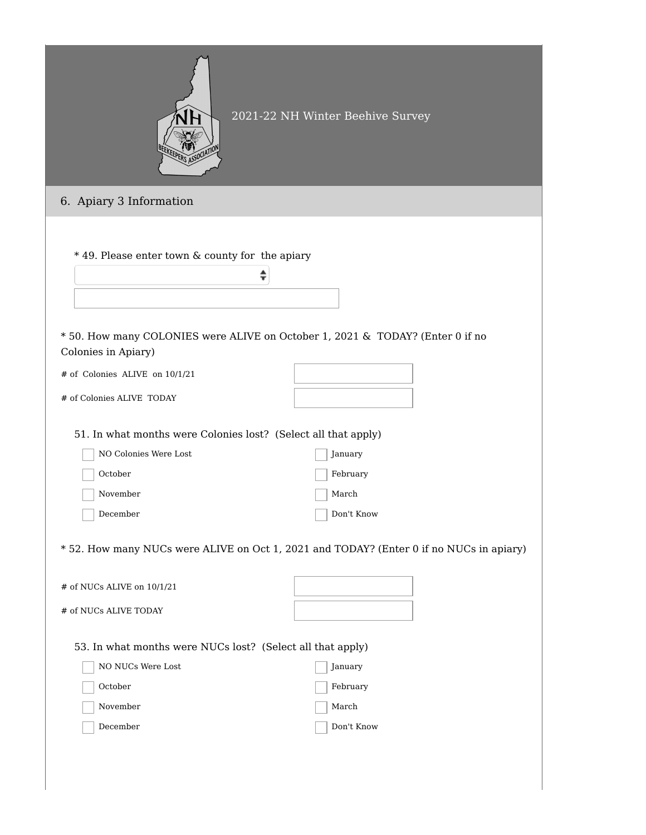|                                                                                                      | 2021-22 NH Winter Beehive Survey                                                        |  |
|------------------------------------------------------------------------------------------------------|-----------------------------------------------------------------------------------------|--|
| 6. Apiary 3 Information                                                                              |                                                                                         |  |
| * 49. Please enter town & county for the apiary<br>÷                                                 |                                                                                         |  |
| * 50. How many COLONIES were ALIVE on October 1, 2021 & TODAY? (Enter 0 if no<br>Colonies in Apiary) |                                                                                         |  |
| # of Colonies ALIVE on 10/1/21                                                                       |                                                                                         |  |
| # of Colonies ALIVE TODAY                                                                            |                                                                                         |  |
| 51. In what months were Colonies lost? (Select all that apply)                                       |                                                                                         |  |
| NO Colonies Were Lost                                                                                | January                                                                                 |  |
| October                                                                                              | February                                                                                |  |
| November                                                                                             | March                                                                                   |  |
| December                                                                                             | Don't Know                                                                              |  |
|                                                                                                      | * 52. How many NUCs were ALIVE on Oct 1, 2021 and TODAY? (Enter 0 if no NUCs in apiary) |  |
| # of NUCs ALIVE on 10/1/21                                                                           |                                                                                         |  |
| # of NUCs ALIVE TODAY                                                                                |                                                                                         |  |
| 53. In what months were NUCs lost? (Select all that apply)                                           |                                                                                         |  |
| NO NUCs Were Lost                                                                                    | January                                                                                 |  |
| October                                                                                              | February                                                                                |  |
| November                                                                                             | March                                                                                   |  |
| December                                                                                             | Don't Know                                                                              |  |
|                                                                                                      |                                                                                         |  |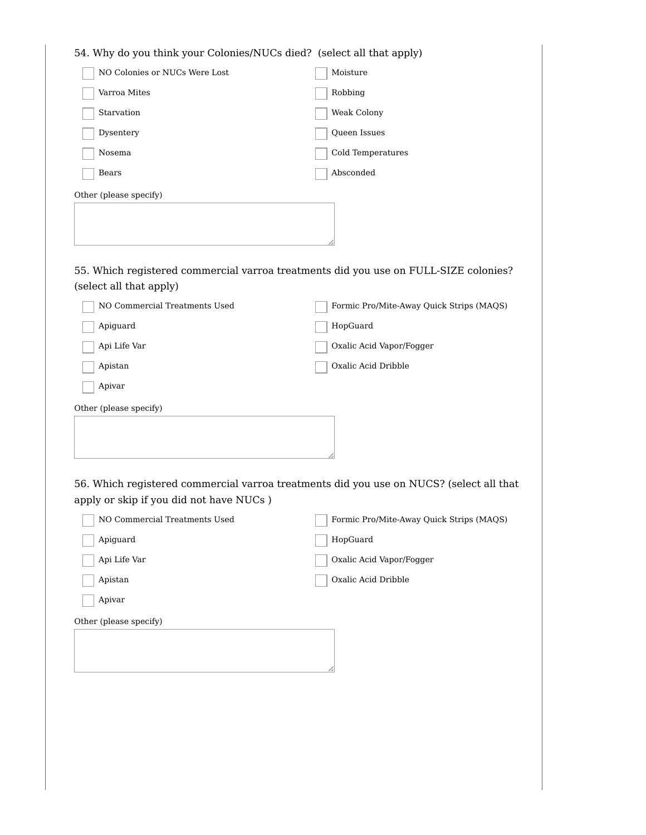| 54. Why do you think your Colonies/NUCs died? (select all that apply) |                                                                                         |
|-----------------------------------------------------------------------|-----------------------------------------------------------------------------------------|
| NO Colonies or NUCs Were Lost                                         | Moisture                                                                                |
| Varroa Mites                                                          | Robbing                                                                                 |
| Starvation                                                            | Weak Colony                                                                             |
| Dysentery                                                             | Queen Issues                                                                            |
| Nosema                                                                | Cold Temperatures                                                                       |
| Bears                                                                 | Absconded                                                                               |
| Other (please specify)                                                |                                                                                         |
|                                                                       |                                                                                         |
|                                                                       |                                                                                         |
|                                                                       |                                                                                         |
|                                                                       | 55. Which registered commercial varroa treatments did you use on FULL-SIZE colonies?    |
| (select all that apply)                                               |                                                                                         |
| NO Commercial Treatments Used                                         | Formic Pro/Mite-Away Quick Strips (MAQS)                                                |
| Apiguard                                                              | HopGuard                                                                                |
| Api Life Var                                                          | Oxalic Acid Vapor/Fogger                                                                |
| Apistan                                                               | Oxalic Acid Dribble                                                                     |
| Apivar                                                                |                                                                                         |
| Other (please specify)                                                |                                                                                         |
|                                                                       |                                                                                         |
|                                                                       |                                                                                         |
|                                                                       |                                                                                         |
|                                                                       | 56. Which registered commercial varroa treatments did you use on NUCS? (select all that |
| apply or skip if you did not have NUCs)                               |                                                                                         |
| NO Commercial Treatments Used                                         | Formic Pro/Mite-Away Quick Strips (MAQS)                                                |
| Apiguard                                                              | HopGuard                                                                                |
| Api Life Var                                                          | Oxalic Acid Vapor/Fogger                                                                |
| Apistan                                                               | Oxalic Acid Dribble                                                                     |
| Apivar                                                                |                                                                                         |
| Other (please specify)                                                |                                                                                         |
|                                                                       |                                                                                         |
|                                                                       |                                                                                         |
|                                                                       |                                                                                         |
|                                                                       |                                                                                         |
|                                                                       |                                                                                         |